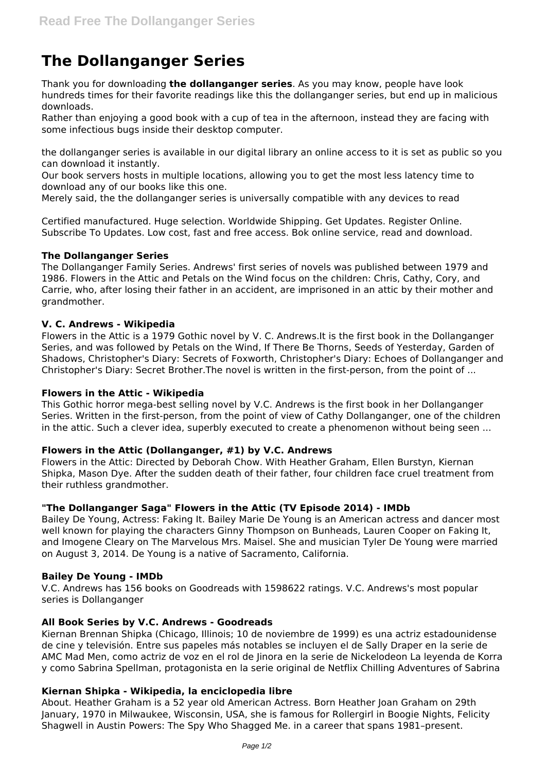# **The Dollanganger Series**

Thank you for downloading **the dollanganger series**. As you may know, people have look hundreds times for their favorite readings like this the dollanganger series, but end up in malicious downloads.

Rather than enjoying a good book with a cup of tea in the afternoon, instead they are facing with some infectious bugs inside their desktop computer.

the dollanganger series is available in our digital library an online access to it is set as public so you can download it instantly.

Our book servers hosts in multiple locations, allowing you to get the most less latency time to download any of our books like this one.

Merely said, the the dollanganger series is universally compatible with any devices to read

Certified manufactured. Huge selection. Worldwide Shipping. Get Updates. Register Online. Subscribe To Updates. Low cost, fast and free access. Bok online service, read and download.

## **The Dollanganger Series**

The Dollanganger Family Series. Andrews' first series of novels was published between 1979 and 1986. Flowers in the Attic and Petals on the Wind focus on the children: Chris, Cathy, Cory, and Carrie, who, after losing their father in an accident, are imprisoned in an attic by their mother and grandmother.

## **V. C. Andrews - Wikipedia**

Flowers in the Attic is a 1979 Gothic novel by V. C. Andrews.It is the first book in the Dollanganger Series, and was followed by Petals on the Wind, If There Be Thorns, Seeds of Yesterday, Garden of Shadows, Christopher's Diary: Secrets of Foxworth, Christopher's Diary: Echoes of Dollanganger and Christopher's Diary: Secret Brother.The novel is written in the first-person, from the point of ...

#### **Flowers in the Attic - Wikipedia**

This Gothic horror mega-best selling novel by V.C. Andrews is the first book in her Dollanganger Series. Written in the first-person, from the point of view of Cathy Dollanganger, one of the children in the attic. Such a clever idea, superbly executed to create a phenomenon without being seen ...

#### **Flowers in the Attic (Dollanganger, #1) by V.C. Andrews**

Flowers in the Attic: Directed by Deborah Chow. With Heather Graham, Ellen Burstyn, Kiernan Shipka, Mason Dye. After the sudden death of their father, four children face cruel treatment from their ruthless grandmother.

# **"The Dollanganger Saga" Flowers in the Attic (TV Episode 2014) - IMDb**

Bailey De Young, Actress: Faking It. Bailey Marie De Young is an American actress and dancer most well known for playing the characters Ginny Thompson on Bunheads, Lauren Cooper on Faking It, and Imogene Cleary on The Marvelous Mrs. Maisel. She and musician Tyler De Young were married on August 3, 2014. De Young is a native of Sacramento, California.

#### **Bailey De Young - IMDb**

V.C. Andrews has 156 books on Goodreads with 1598622 ratings. V.C. Andrews's most popular series is Dollanganger

#### **All Book Series by V.C. Andrews - Goodreads**

Kiernan Brennan Shipka (Chicago, Illinois; 10 de noviembre de 1999) es una actriz estadounidense de cine y televisión. Entre sus papeles más notables se incluyen el de Sally Draper en la serie de AMC Mad Men, como actriz de voz en el rol de Jinora en la serie de Nickelodeon La leyenda de Korra y como Sabrina Spellman, protagonista en la serie original de Netflix Chilling Adventures of Sabrina

#### **Kiernan Shipka - Wikipedia, la enciclopedia libre**

About. Heather Graham is a 52 year old American Actress. Born Heather Joan Graham on 29th January, 1970 in Milwaukee, Wisconsin, USA, she is famous for Rollergirl in Boogie Nights, Felicity Shagwell in Austin Powers: The Spy Who Shagged Me. in a career that spans 1981–present.